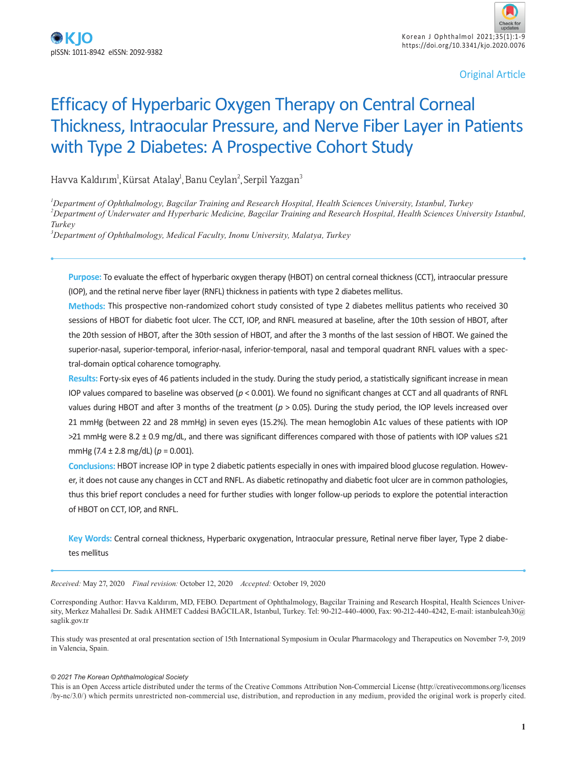Original Article

# Efficacy of Hyperbaric Oxygen Therapy on Central Corneal Thickness, Intraocular Pressure, and Nerve Fiber Layer in Patients with Type 2 Diabetes: A Prospective Cohort Study

Havva Kaldırım<sup>ı</sup>,Kürsat Atalay<sup>ı</sup>,Banu Ceylan<sup>2</sup>,Serpil Yazgan<sup>3</sup>

*1 Department of Ophthalmology, Bagcilar Training and Research Hospital, Health Sciences University, Istanbul, Turkey*

*2 Department of Underwater and Hyperbaric Medicine, Bagcilar Training and Research Hospital, Health Sciences University Istanbul, Turkey*

*3 Department of Ophthalmology, Medical Faculty, Inonu University, Malatya, Turkey*

**Purpose:** To evaluate the effect of hyperbaric oxygen therapy (HBOT) on central corneal thickness (CCT), intraocular pressure (IOP), and the retinal nerve fiber layer (RNFL) thickness in patients with type 2 diabetes mellitus.

**Methods:** This prospective non-randomized cohort study consisted of type 2 diabetes mellitus patients who received 30 sessions of HBOT for diabetic foot ulcer. The CCT, IOP, and RNFL measured at baseline, after the 10th session of HBOT, after the 20th session of HBOT, after the 30th session of HBOT, and after the 3 months of the last session of HBOT. We gained the superior-nasal, superior-temporal, inferior-nasal, inferior-temporal, nasal and temporal quadrant RNFL values with a spectral-domain optical coharence tomography.

**Results:** Forty-six eyes of 46 patients included in the study. During the study period, a statistically significant increase in mean IOP values compared to baseline was observed (*p* < 0.001). We found no significant changes at CCT and all quadrants of RNFL values during HBOT and after 3 months of the treatment ( $p > 0.05$ ). During the study period, the IOP levels increased over 21 mmHg (between 22 and 28 mmHg) in seven eyes (15.2%). The mean hemoglobin A1c values of these patients with IOP >21 mmHg were 8.2 ± 0.9 mg/dL, and there was significant differences compared with those of patients with IOP values ≤21 mmHg (7.4 ± 2.8 mg/dL) (*p* = 0.001).

**Conclusions:** HBOT increase IOP in type 2 diabetic patients especially in ones with impaired blood glucose regulation. However, it does not cause any changes in CCT and RNFL. As diabetic retinopathy and diabetic foot ulcer are in common pathologies, thus this brief report concludes a need for further studies with longer follow-up periods to explore the potential interaction of HBOT on CCT, IOP, and RNFL.

**Key Words:** Central corneal thickness, Hyperbaric oxygenation, Intraocular pressure, Retinal nerve fiber layer, Type 2 diabetes mellitus

*Received:* May 27, 2020 *Final revision:* October 12, 2020 *Accepted:* October 19, 2020

Corresponding Author: Havva Kaldırım, MD, FEBO. Department of Ophthalmology, Bagcilar Training and Research Hospital, Health Sciences University, Merkez Mahallesi Dr. Sadık AHMET Caddesi BAĞCILAR, Istanbul, Turkey. Tel: 90-212-440-4000, Fax: 90-212-440-4242, E-mail: istanbuleah30@ saglik.gov.tr

This study was presented at oral presentation section of 15th International Symposium in Ocular Pharmacology and Therapeutics on November 7-9, 2019 in Valencia, Spain.

#### *© 2021 The Korean Ophthalmological Society*

This is an Open Access article distributed under the terms of the Creative Commons Attribution Non-Commercial License (http://creativecommons.org/licenses /by-nc/3.0/) which permits unrestricted non-commercial use, distribution, and reproduction in any medium, provided the original work is properly cited.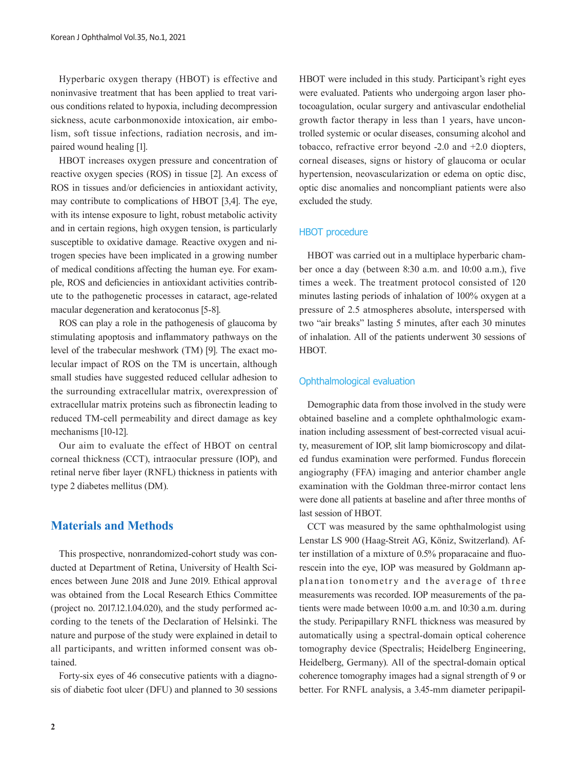Hyperbaric oxygen therapy (HBOT) is effective and noninvasive treatment that has been applied to treat various conditions related to hypoxia, including decompression sickness, acute carbonmonoxide intoxication, air embolism, soft tissue infections, radiation necrosis, and impaired wound healing [1].

HBOT increases oxygen pressure and concentration of reactive oxygen species (ROS) in tissue [2]. An excess of ROS in tissues and/or deficiencies in antioxidant activity, may contribute to complications of HBOT [3,4]. The eye, with its intense exposure to light, robust metabolic activity and in certain regions, high oxygen tension, is particularly susceptible to oxidative damage. Reactive oxygen and nitrogen species have been implicated in a growing number of medical conditions affecting the human eye. For example, ROS and deficiencies in antioxidant activities contribute to the pathogenetic processes in cataract, age-related macular degeneration and keratoconus [5-8].

ROS can play a role in the pathogenesis of glaucoma by stimulating apoptosis and inflammatory pathways on the level of the trabecular meshwork (TM) [9]. The exact molecular impact of ROS on the TM is uncertain, although small studies have suggested reduced cellular adhesion to the surrounding extracellular matrix, overexpression of extracellular matrix proteins such as fibronectin leading to reduced TM-cell permeability and direct damage as key mechanisms [10-12].

Our aim to evaluate the effect of HBOT on central corneal thickness (CCT), intraocular pressure (IOP), and retinal nerve fiber layer (RNFL) thickness in patients with type 2 diabetes mellitus (DM).

## **Materials and Methods**

This prospective, nonrandomized-cohort study was conducted at Department of Retina, University of Health Sciences between June 2018 and June 2019. Ethical approval was obtained from the Local Research Ethics Committee (project no. 2017.12.1.04.020), and the study performed according to the tenets of the Declaration of Helsinki. The nature and purpose of the study were explained in detail to all participants, and written informed consent was obtained.

Forty-six eyes of 46 consecutive patients with a diagnosis of diabetic foot ulcer (DFU) and planned to 30 sessions HBOT were included in this study. Participant's right eyes were evaluated. Patients who undergoing argon laser photocoagulation, ocular surgery and antivascular endothelial growth factor therapy in less than 1 years, have uncontrolled systemic or ocular diseases, consuming alcohol and tobacco, refractive error beyond -2.0 and +2.0 diopters, corneal diseases, signs or history of glaucoma or ocular hypertension, neovascularization or edema on optic disc, optic disc anomalies and noncompliant patients were also excluded the study.

### HBOT procedure

HBOT was carried out in a multiplace hyperbaric chamber once a day (between 8:30 a.m. and 10:00 a.m.), five times a week. The treatment protocol consisted of 120 minutes lasting periods of inhalation of 100% oxygen at a pressure of 2.5 atmospheres absolute, interspersed with two "air breaks" lasting 5 minutes, after each 30 minutes of inhalation. All of the patients underwent 30 sessions of HBOT.

#### Ophthalmological evaluation

Demographic data from those involved in the study were obtained baseline and a complete ophthalmologic examination including assessment of best-corrected visual acuity, measurement of IOP, slit lamp biomicroscopy and dilated fundus examination were performed. Fundus florecein angiography (FFA) imaging and anterior chamber angle examination with the Goldman three-mirror contact lens were done all patients at baseline and after three months of last session of HBOT.

CCT was measured by the same ophthalmologist using Lenstar LS 900 (Haag-Streit AG, Köniz, Switzerland). After instillation of a mixture of 0.5% proparacaine and fluorescein into the eye, IOP was measured by Goldmann applanation tonometry and the average of three measurements was recorded. IOP measurements of the patients were made between 10:00 a.m. and 10:30 a.m. during the study. Peripapillary RNFL thickness was measured by automatically using a spectral-domain optical coherence tomography device (Spectralis; Heidelberg Engineering, Heidelberg, Germany). All of the spectral-domain optical coherence tomography images had a signal strength of 9 or better. For RNFL analysis, a 3.45-mm diameter peripapil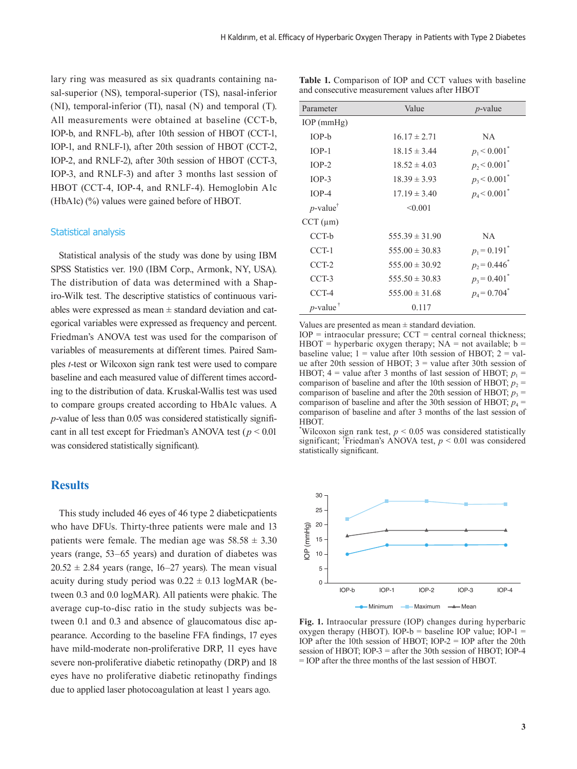lary ring was measured as six quadrants containing nasal-superior (NS), temporal-superior (TS), nasal-inferior (NI), temporal-inferior (TI), nasal (N) and temporal (T). All measurements were obtained at baseline (CCT-b, IOP-b, and RNFL-b), after 10th session of HBOT (CCT-1, IOP-1, and RNLF-1), after 20th session of HBOT (CCT-2, IOP-2, and RNLF-2), after 30th session of HBOT (CCT-3, IOP-3, and RNLF-3) and after 3 months last session of HBOT (CCT-4, IOP-4, and RNLF-4). Hemoglobin A1c (HbA1c) (%) values were gained before of HBOT.

### Statistical analysis

Statistical analysis of the study was done by using IBM SPSS Statistics ver. 19.0 (IBM Corp., Armonk, NY, USA). The distribution of data was determined with a Shapiro-Wilk test. The descriptive statistics of continuous variables were expressed as mean  $\pm$  standard deviation and categorical variables were expressed as frequency and percent. Friedman's ANOVA test was used for the comparison of variables of measurements at different times. Paired Samples *t*-test or Wilcoxon sign rank test were used to compare baseline and each measured value of different times according to the distribution of data. Kruskal-Wallis test was used to compare groups created according to HbA1c values. A *p*-value of less than 0.05 was considered statistically significant in all test except for Friedman's ANOVA test (*p* < 0.01 was considered statistically significant).

## **Results**

This study included 46 eyes of 46 type 2 diabeticpatients who have DFUs. Thirty-three patients were male and 13 patients were female. The median age was  $58.58 \pm 3.30$ years (range, 53–65 years) and duration of diabetes was  $20.52 \pm 2.84$  years (range, 16–27 years). The mean visual acuity during study period was  $0.22 \pm 0.13$  logMAR (between 0.3 and 0.0 logMAR). All patients were phakic. The average cup-to-disc ratio in the study subjects was between 0.1 and 0.3 and absence of glaucomatous disc appearance. According to the baseline FFA findings, 17 eyes have mild-moderate non-proliferative DRP, 11 eyes have severe non-proliferative diabetic retinopathy (DRP) and 18 eyes have no proliferative diabetic retinopathy findings due to applied laser photocoagulation at least 1 years ago.

| <b>Table 1.</b> Comparison of IOP and CCT values with baseline<br>and consecutive measurement values after HBOT |       |            |
|-----------------------------------------------------------------------------------------------------------------|-------|------------|
| Parameter                                                                                                       | Value | $p$ -value |

| 1 alameter              | vaiuv              | $p$ -value                 |
|-------------------------|--------------------|----------------------------|
| $IOP$ (mmHg)            |                    |                            |
| $IOP-b$                 | $16.17 \pm 2.71$   | NA.                        |
| $IOP-1$                 | $18.15 \pm 3.44$   | $p_1$ < 0.001 <sup>*</sup> |
| $IOP-2$                 | $18.52 \pm 4.03$   | $p_2$ < 0.001 <sup>*</sup> |
| $IOP-3$                 | $18.39 \pm 3.93$   | $p_3$ < 0.001 <sup>*</sup> |
| $IOP-4$                 | $17.19 \pm 3.40$   | $p_4$ < 0.001 <sup>*</sup> |
| $p$ -value <sup>†</sup> | < 0.001            |                            |
| $CCT$ ( $\mu$ m)        |                    |                            |
| CCT-b                   | $555.39 \pm 31.90$ | <b>NA</b>                  |
| CCT-1                   | $555.00 \pm 30.83$ | $p_1 = 0.191$ <sup>*</sup> |
| CCT-2                   | $555.00 \pm 30.92$ | $p_2 = 0.446^*$            |
| $CCT-3$                 | $555.50 \pm 30.83$ | $p_3 = 0.401^*$            |
| CCT-4                   | $555.00 \pm 31.68$ | $p_4 = 0.704$ <sup>*</sup> |
| $p$ -value <sup>†</sup> | 0.117              |                            |

Values are presented as mean  $\pm$  standard deviation.

 $IOP = \text{intraocular pressure}; CCT = \text{central corneal thickness};$ HBOT = hyperbaric oxygen therapy;  $NA$  = not available;  $b$  = baseline value;  $1 =$  value after 10th session of HBOT;  $2 =$  value after 20th session of HBOT;  $3$  = value after 30th session of HBOT;  $4 =$  value after 3 months of last session of HBOT;  $p_1 =$ comparison of baseline and after the 10th session of HBOT;  $p_2$  = comparison of baseline and after the 20th session of HBOT;  $p_3$  = comparison of baseline and after the 30th session of HBOT;  $p_4$  = comparison of baseline and after 3 months of the last session of HBOT.

\*Wilcoxon sign rank test,  $p < 0.05$  was considered statistically significant; † Friedman's ANOVA test, *p* < 0.01 was considered statistically significant.



**Fig. 1.** Intraocular pressure (IOP) changes during hyperbaric oxygen therapy (HBOT). IOP- $b = b$  aseline IOP value; IOP-1 = IOP after the 10th session of HBOT; IOP-2 = IOP after the 20th session of HBOT; IOP-3 = after the 30th session of HBOT; IOP-4 = IOP after the three months of the last session of HBOT.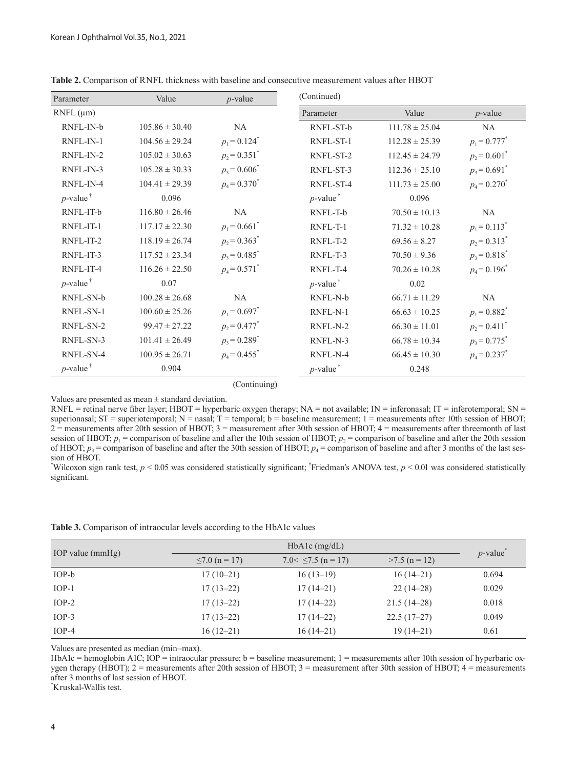| Parameter               | Value              | $p$ -value                 | (Continued)             |                    |                            |
|-------------------------|--------------------|----------------------------|-------------------------|--------------------|----------------------------|
| $RNFL$ ( $\mu$ m)       |                    |                            | Parameter               | Value              | $p$ -value                 |
| RNFL-IN-b               | $105.86 \pm 30.40$ | NA                         | RNFL-ST-b               | $111.78 \pm 25.04$ | <b>NA</b>                  |
| RNFL-IN-1               | $104.56 \pm 29.24$ | $p_1 = 0.124$ <sup>*</sup> | RNFL-ST-1               | $112.28 \pm 25.39$ | $p_1 = 0.777^*$            |
| RNFL-IN-2               | $105.02 \pm 30.63$ | $p_2$ = 0.351 <sup>*</sup> | RNFL-ST-2               | $112.45 \pm 24.79$ | $p_2$ = 0.601 <sup>*</sup> |
| RNFL-IN-3               | $105.28 \pm 30.33$ | $p_3 = 0.606^*$            | RNFL-ST-3               | $112.36 \pm 25.10$ | $p_3$ = 0.691 <sup>*</sup> |
| RNFL-IN-4               | $104.41 \pm 29.39$ | $p_4 = 0.370^*$            | RNFL-ST-4               | $111.73 \pm 25.00$ | $p_4 = 0.270^*$            |
| $p$ -value <sup>†</sup> | 0.096              |                            | $p$ -value <sup>†</sup> | 0.096              |                            |
| RNFL-IT-b               | $116.80 \pm 26.46$ | NA                         | RNFL-T-b                | $70.50 \pm 10.13$  | <b>NA</b>                  |
| RNFL-IT-1               | $117.17 \pm 22.30$ | $p_1 = 0.661^*$            | RNFL-T-1                | $71.32 \pm 10.28$  | $p_1 = 0.113$ <sup>*</sup> |
| RNFL-IT-2               | $118.19 \pm 26.74$ | $p_2$ = 0.363 <sup>*</sup> | RNFL-T-2                | $69.56 \pm 8.27$   | $p_2$ = 0.313 <sup>*</sup> |
| RNFL-IT-3               | $117.52 \pm 23.34$ | $p_3 = 0.485$ <sup>*</sup> | RNFL-T-3                | $70.50 \pm 9.36$   | $p_3$ = 0.818 <sup>*</sup> |
| RNFL-IT-4               | $116.26 \pm 22.50$ | $p_4 = 0.571$ <sup>*</sup> | RNFL-T-4                | $70.26 \pm 10.28$  | $p_4 = 0.196^*$            |
| $p$ -value <sup>†</sup> | 0.07               |                            | $p$ -value <sup>†</sup> | 0.02               |                            |
| RNFL-SN-b               | $100.28 \pm 26.68$ | <b>NA</b>                  | RNFL-N-b                | $66.71 \pm 11.29$  | NA                         |
| RNFL-SN-1               | $100.60 \pm 25.26$ | $p_1 = 0.697^*$            | RNFL-N-1                | $66.63 \pm 10.25$  | $p_1 = 0.882^*$            |
| RNFL-SN-2               | $99.47 \pm 27.22$  | $p_2 = 0.477$ <sup>*</sup> | RNFL-N-2                | $66.30 \pm 11.01$  | $p_2 = 0.411$ <sup>*</sup> |
| RNFL-SN-3               | $101.41 \pm 26.49$ | $p_3$ = 0.289 <sup>*</sup> | RNFL-N-3                | $66.78 \pm 10.34$  | $p_3 = 0.775$ <sup>*</sup> |
| RNFL-SN-4               | $100.95 \pm 26.71$ | $p_4 = 0.455$ <sup>*</sup> | RNFL-N-4                | $66.45 \pm 10.30$  | $p_4 = 0.237$ <sup>*</sup> |
| $p$ -value <sup>†</sup> | 0.904              |                            | $p$ -value <sup>†</sup> | 0.248              |                            |

**Table 2.** Comparison of RNFL thickness with baseline and consecutive measurement values after HBOT

(Continuing)

Values are presented as mean  $\pm$  standard deviation.

 $RNFL =$  retinal nerve fiber layer; HBOT = hyperbaric oxygen therapy;  $NA =$  not available;  $IN =$  inferonasal;  $IT =$  inferotemporal;  $SN =$ superionasal;  $ST =$  superiotemporal;  $N =$  nasal;  $T =$  temporal;  $b =$  baseline measurement; 1 = measurements after 10th session of HBOT;  $2 =$  measurements after 20th session of HBOT;  $3 =$  measurement after 30th session of HBOT;  $4 =$  measurements after threemonth of last session of HBOT;  $p_1$  = comparison of baseline and after the 10th session of HBOT;  $p_2$  = comparison of baseline and after the 20th session of HBOT;  $p_3$  = comparison of baseline and after the 30th session of HBOT;  $p_4$  = comparison of baseline and after 3 months of the last session of HBOT.

\* Wilcoxon sign rank test, *p* < 0.05 was considered statistically significant; † Friedman's ANOVA test, *p* < 0.01 was considered statistically significant.

|  | Table 3. Comparison of intraocular levels according to the HbA1c values |  |
|--|-------------------------------------------------------------------------|--|
|  |                                                                         |  |

| IOP value $(mmHg)$ | $HbA1c$ (mg/dL)     |                         |                 |            |
|--------------------|---------------------|-------------------------|-----------------|------------|
|                    | $\leq 7.0$ (n = 17) | 7.0 $\leq$ 7.5 (n = 17) | $>7.5$ (n = 12) | $p$ -value |
| $IOP-b$            | $17(10-21)$         | $16(13-19)$             | $16(14-21)$     | 0.694      |
| $IOP-1$            | $17(13-22)$         | $17(14-21)$             | $22(14-28)$     | 0.029      |
| $IOP-2$            | $17(13-22)$         | $17(14-22)$             | $21.5(14-28)$   | 0.018      |
| $IOP-3$            | $17(13-22)$         | $17(14-22)$             | $22.5(17-27)$   | 0.049      |
| $IOP-4$            | $16(12-21)$         | $16(14-21)$             | $19(14-21)$     | 0.61       |

Values are presented as median (min–max).

HbA1c = hemoglobin A1C; IOP = intraocular pressure;  $b =$  baseline measurement; 1 = measurements after 10th session of hyperbaric oxygen therapy (HBOT); 2 = measurements after 20th session of HBOT; 3 = measurement after 30th session of HBOT; 4 = measurements after 3 months of last session of HBOT.

\* Kruskal-Wallis test.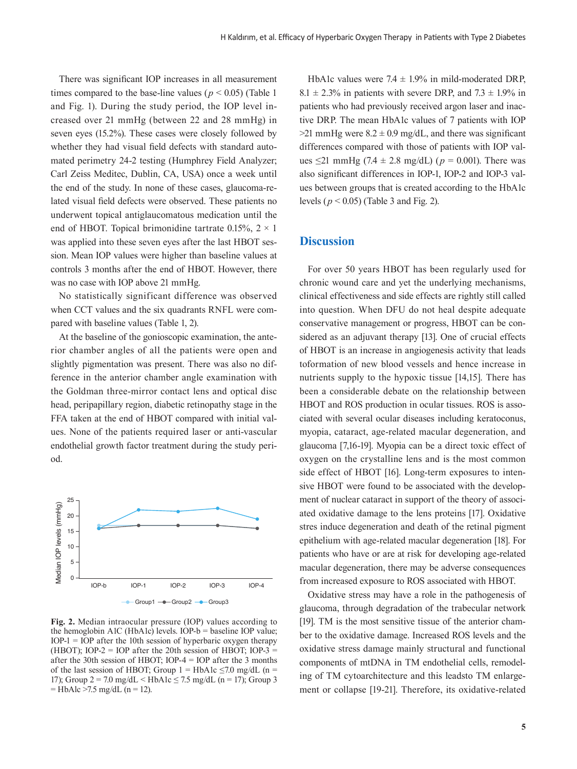There was significant IOP increases in all measurement times compared to the base-line values ( $p < 0.05$ ) (Table 1) and Fig. 1). During the study period, the IOP level increased over 21 mmHg (between 22 and 28 mmHg) in seven eyes (15.2%). These cases were closely followed by whether they had visual field defects with standard automated perimetry 24-2 testing (Humphrey Field Analyzer; Carl Zeiss Meditec, Dublin, CA, USA) once a week until the end of the study. In none of these cases, glaucoma-related visual field defects were observed. These patients no underwent topical antiglaucomatous medication until the end of HBOT. Topical brimonidine tartrate 0.15%,  $2 \times 1$ was applied into these seven eyes after the last HBOT session. Mean IOP values were higher than baseline values at controls 3 months after the end of HBOT. However, there was no case with IOP above 21 mmHg.

No statistically significant difference was observed when CCT values and the six quadrants RNFL were compared with baseline values (Table 1, 2).

At the baseline of the gonioscopic examination, the anterior chamber angles of all the patients were open and slightly pigmentation was present. There was also no difference in the anterior chamber angle examination with the Goldman three-mirror contact lens and optical disc head, peripapillary region, diabetic retinopathy stage in the FFA taken at the end of HBOT compared with initial values. None of the patients required laser or anti-vascular endothelial growth factor treatment during the study period.



**Fig. 2.** Median intraocular pressure (IOP) values according to the hemoglobin A1C (HbA1c) levels. IOP- $b =$  baseline IOP value; IOP-1 = IOP after the 10th session of hyperbaric oxygen therapy (HBOT); IOP-2 = IOP after the 20th session of HBOT; IOP-3 = after the 30th session of HBOT; IOP-4 = IOP after the 3 months of the last session of HBOT; Group 1 = HbA1c  $\leq$ 7.0 mg/dL (n = 17); Group  $2 = 7.0$  mg/dL  $\leq$  HbA1c  $\leq$  7.5 mg/dL (n = 17); Group 3  $=$  HbAlc >7.5 mg/dL (n = 12).

HbA1c values were  $7.4 \pm 1.9\%$  in mild-moderated DRP.  $8.1 \pm 2.3\%$  in patients with severe DRP, and  $7.3 \pm 1.9\%$  in patients who had previously received argon laser and inactive DRP. The mean HbA1c values of 7 patients with IOP  $>$ 21 mmHg were 8.2  $\pm$  0.9 mg/dL, and there was significant differences compared with those of patients with IOP values ≤21 mmHg (7.4 ± 2.8 mg/dL) ( $p = 0.001$ ). There was also significant differences in IOP-1, IOP-2 and IOP-3 values between groups that is created according to the HbA1c levels (*p* < 0.05) (Table 3 and Fig. 2).

## **Discussion**

For over 50 years HBOT has been regularly used for chronic wound care and yet the underlying mechanisms, clinical effectiveness and side effects are rightly still called into question. When DFU do not heal despite adequate conservative management or progress, HBOT can be considered as an adjuvant therapy [13]. One of crucial effects of HBOT is an increase in angiogenesis activity that leads toformation of new blood vessels and hence increase in nutrients supply to the hypoxic tissue [14,15]. There has been a considerable debate on the relationship between HBOT and ROS production in ocular tissues. ROS is associated with several ocular diseases including keratoconus, myopia, cataract, age-related macular degeneration, and glaucoma [7,16-19]. Myopia can be a direct toxic effect of oxygen on the crystalline lens and is the most common side effect of HBOT [16]. Long-term exposures to intensive HBOT were found to be associated with the development of nuclear cataract in support of the theory of associated oxidative damage to the lens proteins [17]. Oxidative stres induce degeneration and death of the retinal pigment epithelium with age-related macular degeneration [18]. For patients who have or are at risk for developing age-related macular degeneration, there may be adverse consequences from increased exposure to ROS associated with HBOT.

Oxidative stress may have a role in the pathogenesis of glaucoma, through degradation of the trabecular network [19]. TM is the most sensitive tissue of the anterior chamber to the oxidative damage. Increased ROS levels and the oxidative stress damage mainly structural and functional components of mtDNA in TM endothelial cells, remodeling of TM cytoarchitecture and this leadsto TM enlargement or collapse [19-21]. Therefore, its oxidative-related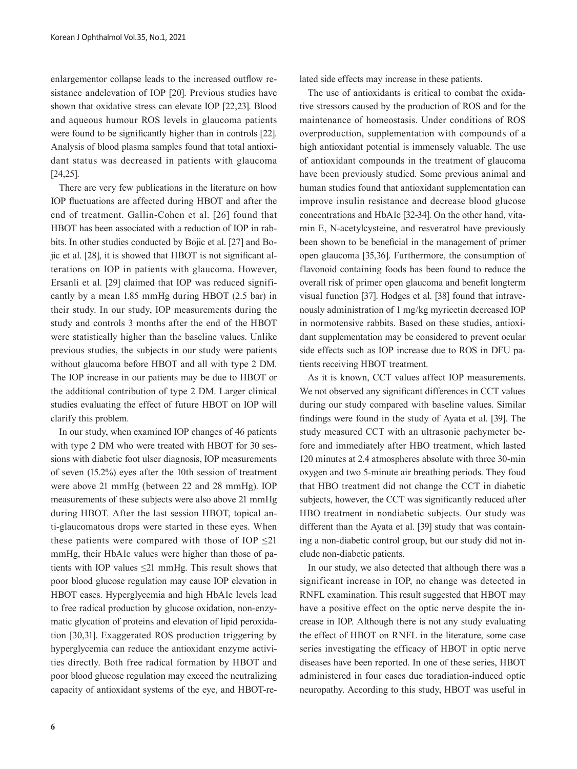enlargementor collapse leads to the increased outflow resistance andelevation of IOP [20]. Previous studies have shown that oxidative stress can elevate IOP [22,23]. Blood and aqueous humour ROS levels in glaucoma patients were found to be significantly higher than in controls [22]. Analysis of blood plasma samples found that total antioxidant status was decreased in patients with glaucoma [24,25].

There are very few publications in the literature on how IOP fluctuations are affected during HBOT and after the end of treatment. Gallin-Cohen et al. [26] found that HBOT has been associated with a reduction of IOP in rabbits. In other studies conducted by Bojic et al. [27] and Bojic et al. [28], it is showed that HBOT is not significant alterations on IOP in patients with glaucoma. However, Ersanli et al. [29] claimed that IOP was reduced significantly by a mean 1.85 mmHg during HBOT (2.5 bar) in their study. In our study, IOP measurements during the study and controls 3 months after the end of the HBOT were statistically higher than the baseline values. Unlike previous studies, the subjects in our study were patients without glaucoma before HBOT and all with type 2 DM. The IOP increase in our patients may be due to HBOT or the additional contribution of type 2 DM. Larger clinical studies evaluating the effect of future HBOT on IOP will clarify this problem.

In our study, when examined IOP changes of 46 patients with type 2 DM who were treated with HBOT for 30 sessions with diabetic foot ulser diagnosis, IOP measurements of seven (15.2%) eyes after the 10th session of treatment were above 21 mmHg (between 22 and 28 mmHg). IOP measurements of these subjects were also above 21 mmHg during HBOT. After the last session HBOT, topical anti-glaucomatous drops were started in these eyes. When these patients were compared with those of IOP  $\leq$ 21 mmHg, their HbA1c values were higher than those of patients with IOP values ≤21 mmHg. This result shows that poor blood glucose regulation may cause IOP elevation in HBOT cases. Hyperglycemia and high HbA1c levels lead to free radical production by glucose oxidation, non-enzymatic glycation of proteins and elevation of lipid peroxidation [30,31]. Exaggerated ROS production triggering by hyperglycemia can reduce the antioxidant enzyme activities directly. Both free radical formation by HBOT and poor blood glucose regulation may exceed the neutralizing capacity of antioxidant systems of the eye, and HBOT-related side effects may increase in these patients.

The use of antioxidants is critical to combat the oxidative stressors caused by the production of ROS and for the maintenance of homeostasis. Under conditions of ROS overproduction, supplementation with compounds of a high antioxidant potential is immensely valuable. The use of antioxidant compounds in the treatment of glaucoma have been previously studied. Some previous animal and human studies found that antioxidant supplementation can improve insulin resistance and decrease blood glucose concentrations and HbA1c [32-34]. On the other hand, vitamin E, N-acetylcysteine, and resveratrol have previously been shown to be beneficial in the management of primer open glaucoma [35,36]. Furthermore, the consumption of flavonoid containing foods has been found to reduce the overall risk of primer open glaucoma and benefit longterm visual function [37]. Hodges et al. [38] found that intravenously administration of 1 mg/kg myricetin decreased IOP in normotensive rabbits. Based on these studies, antioxidant supplementation may be considered to prevent ocular side effects such as IOP increase due to ROS in DFU patients receiving HBOT treatment.

As it is known, CCT values affect IOP measurements. We not observed any significant differences in CCT values during our study compared with baseline values. Similar findings were found in the study of Ayata et al. [39]. The study measured CCT with an ultrasonic pachymeter before and immediately after HBO treatment, which lasted 120 minutes at 2.4 atmospheres absolute with three 30-min oxygen and two 5-minute air breathing periods. They foud that HBO treatment did not change the CCT in diabetic subjects, however, the CCT was significantly reduced after HBO treatment in nondiabetic subjects. Our study was different than the Ayata et al. [39] study that was containing a non-diabetic control group, but our study did not include non-diabetic patients.

In our study, we also detected that although there was a significant increase in IOP, no change was detected in RNFL examination. This result suggested that HBOT may have a positive effect on the optic nerve despite the increase in IOP. Although there is not any study evaluating the effect of HBOT on RNFL in the literature, some case series investigating the efficacy of HBOT in optic nerve diseases have been reported. In one of these series, HBOT administered in four cases due toradiation-induced optic neuropathy. According to this study, HBOT was useful in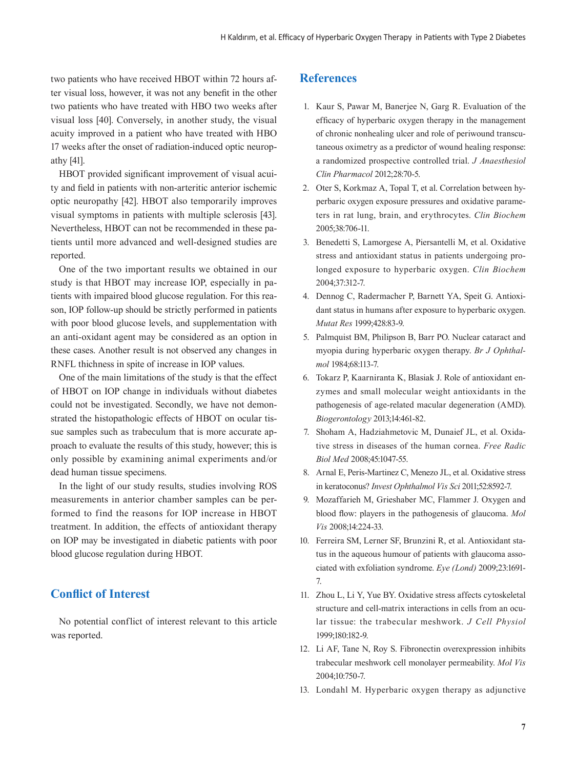two patients who have received HBOT within 72 hours after visual loss, however, it was not any benefit in the other two patients who have treated with HBO two weeks after visual loss [40]. Conversely, in another study, the visual acuity improved in a patient who have treated with HBO 17 weeks after the onset of radiation-induced optic neuropathy [41].

HBOT provided significant improvement of visual acuity and field in patients with non-arteritic anterior ischemic optic neuropathy [42]. HBOT also temporarily improves visual symptoms in patients with multiple sclerosis [43]. Nevertheless, HBOT can not be recommended in these patients until more advanced and well-designed studies are reported.

One of the two important results we obtained in our study is that HBOT may increase IOP, especially in patients with impaired blood glucose regulation. For this reason, IOP follow-up should be strictly performed in patients with poor blood glucose levels, and supplementation with an anti-oxidant agent may be considered as an option in these cases. Another result is not observed any changes in RNFL thichness in spite of increase in IOP values.

One of the main limitations of the study is that the effect of HBOT on IOP change in individuals without diabetes could not be investigated. Secondly, we have not demonstrated the histopathologic effects of HBOT on ocular tissue samples such as trabeculum that is more accurate approach to evaluate the results of this study, however; this is only possible by examining animal experiments and/or dead human tissue specimens.

In the light of our study results, studies involving ROS measurements in anterior chamber samples can be performed to find the reasons for IOP increase in HBOT treatment. In addition, the effects of antioxidant therapy on IOP may be investigated in diabetic patients with poor blood glucose regulation during HBOT.

## **Conflict of Interest**

No potential conflict of interest relevant to this article was reported.

## **References**

- 1. Kaur S, Pawar M, Banerjee N, Garg R. Evaluation of the efficacy of hyperbaric oxygen therapy in the management of chronic nonhealing ulcer and role of periwound transcutaneous oximetry as a predictor of wound healing response: a randomized prospective controlled trial. *J Anaesthesiol Clin Pharmacol* 2012;28:70-5.
- 2. Oter S, Korkmaz A, Topal T, et al. Correlation between hyperbaric oxygen exposure pressures and oxidative parameters in rat lung, brain, and erythrocytes. *Clin Biochem* 2005;38:706-11.
- 3. Benedetti S, Lamorgese A, Piersantelli M, et al. Oxidative stress and antioxidant status in patients undergoing prolonged exposure to hyperbaric oxygen. *Clin Biochem* 2004;37:312-7.
- 4. Dennog C, Radermacher P, Barnett YA, Speit G. Antioxidant status in humans after exposure to hyperbaric oxygen. *Mutat Res* 1999;428:83-9.
- 5. Palmquist BM, Philipson B, Barr PO. Nuclear cataract and myopia during hyperbaric oxygen therapy. *Br J Ophthalmol* 1984;68:113-7.
- 6. Tokarz P, Kaarniranta K, Blasiak J. Role of antioxidant enzymes and small molecular weight antioxidants in the pathogenesis of age-related macular degeneration (AMD). *Biogerontology* 2013;14:461-82.
- 7. Shoham A, Hadziahmetovic M, Dunaief JL, et al. Oxidative stress in diseases of the human cornea. *Free Radic Biol Med* 2008;45:1047-55.
- 8. Arnal E, Peris-Martinez C, Menezo JL, et al. Oxidative stress in keratoconus? *Invest Ophthalmol Vis Sci* 2011;52:8592-7.
- 9. Mozaffarieh M, Grieshaber MC, Flammer J. Oxygen and blood flow: players in the pathogenesis of glaucoma. *Mol Vis* 2008;14:224-33.
- 10. Ferreira SM, Lerner SF, Brunzini R, et al. Antioxidant status in the aqueous humour of patients with glaucoma associated with exfoliation syndrome. *Eye (Lond)* 2009;23:1691- 7.
- 11. Zhou L, Li Y, Yue BY. Oxidative stress affects cytoskeletal structure and cell-matrix interactions in cells from an ocular tissue: the trabecular meshwork. *J Cell Physiol* 1999;180:182-9.
- 12. Li AF, Tane N, Roy S. Fibronectin overexpression inhibits trabecular meshwork cell monolayer permeability. *Mol Vis* 2004;10:750-7.
- 13. Londahl M. Hyperbaric oxygen therapy as adjunctive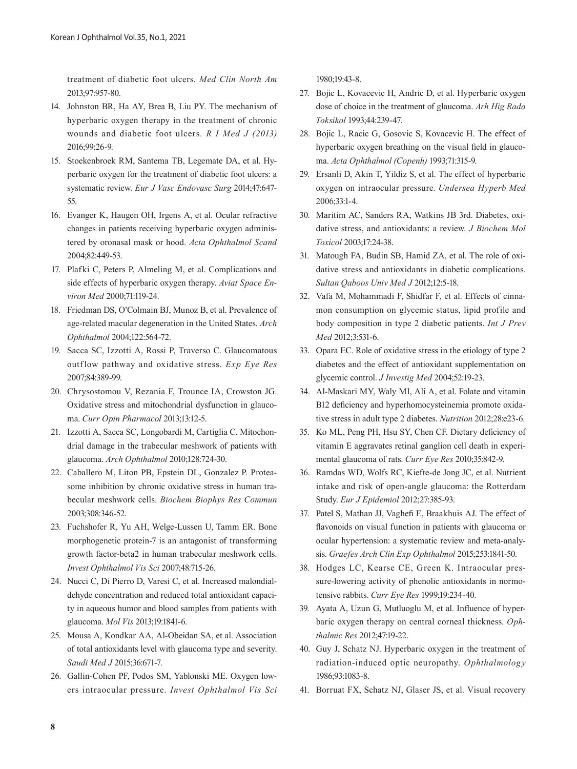treatment of diabetic foot ulcers. *Med Clin North Am* 2013;97:957-80.

- 14. Johnston BR, Ha AY, Brea B, Liu PY. The mechanism of hyperbaric oxygen therapy in the treatment of chronic wounds and diabetic foot ulcers. *R I Med J (2013)* 2016;99:26-9.
- 15. Stoekenbroek RM, Santema TB, Legemate DA, et al. Hyperbaric oxygen for the treatment of diabetic foot ulcers: a systematic review. *Eur J Vasc Endovasc Surg* 2014;47:647- 55.
- 16. Evanger K, Haugen OH, Irgens A, et al. Ocular refractive changes in patients receiving hyperbaric oxygen administered by oronasal mask or hood. *Acta Ophthalmol Scand* 2004;82:449-53.
- 17. Plafki C, Peters P, Almeling M, et al. Complications and side effects of hyperbaric oxygen therapy. *Aviat Space Environ Med* 2000;71:119-24.
- 18. Friedman DS, O'Colmain BJ, Munoz B, et al. Prevalence of age-related macular degeneration in the United States. *Arch Ophthalmol* 2004;122:564-72.
- 19. Sacca SC, Izzotti A, Rossi P, Traverso C. Glaucomatous outflow pathway and oxidative stress. *Exp Eye Res* 2007;84:389-99.
- 20. Chrysostomou V, Rezania F, Trounce IA, Crowston JG. Oxidative stress and mitochondrial dysfunction in glaucoma. *Curr Opin Pharmacol* 2013;13:12-5.
- 21. Izzotti A, Sacca SC, Longobardi M, Cartiglia C. Mitochondrial damage in the trabecular meshwork of patients with glaucoma. *Arch Ophthalmol* 2010;128:724-30.
- 22. Caballero M, Liton PB, Epstein DL, Gonzalez P. Proteasome inhibition by chronic oxidative stress in human trabecular meshwork cells. *Biochem Biophys Res Commun* 2003;308:346-52.
- 23. Fuchshofer R, Yu AH, Welge-Lussen U, Tamm ER. Bone morphogenetic protein-7 is an antagonist of transforming growth factor-beta2 in human trabecular meshwork cells. *Invest Ophthalmol Vis Sci* 2007;48:715-26.
- 24. Nucci C, Di Pierro D, Varesi C, et al. Increased malondialdehyde concentration and reduced total antioxidant capacity in aqueous humor and blood samples from patients with glaucoma. *Mol Vis* 2013;19:1841-6.
- 25. Mousa A, Kondkar AA, Al-Obeidan SA, et al. Association of total antioxidants level with glaucoma type and severity. *Saudi Med J* 2015;36:671-7.
- 26. Gallin-Cohen PF, Podos SM, Yablonski ME. Oxygen lowers intraocular pressure. *Invest Ophthalmol Vis Sci*

1980;19:43-8.

- 27. Bojic L, Kovacevic H, Andric D, et al. Hyperbaric oxygen dose of choice in the treatment of glaucoma. *Arh Hig Rada Toksikol* 1993;44:239-47.
- 28. Bojic L, Racic G, Gosovic S, Kovacevic H. The effect of hyperbaric oxygen breathing on the visual field in glaucoma. *Acta Ophthalmol (Copenh)* 1993;71:315-9.
- 29. Ersanli D, Akin T, Yildiz S, et al. The effect of hyperbaric oxygen on intraocular pressure. *Undersea Hyperb Med* 2006;33:1-4.
- 30. Maritim AC, Sanders RA, Watkins JB 3rd. Diabetes, oxidative stress, and antioxidants: a review. *J Biochem Mol Toxicol* 2003;17:24-38.
- 31. Matough FA, Budin SB, Hamid ZA, et al. The role of oxidative stress and antioxidants in diabetic complications. *Sultan Qaboos Univ Med J* 2012;12:5-18.
- 32. Vafa M, Mohammadi F, Shidfar F, et al. Effects of cinnamon consumption on glycemic status, lipid profile and body composition in type 2 diabetic patients. *Int J Prev Med* 2012;3:531-6.
- 33. Opara EC. Role of oxidative stress in the etiology of type 2 diabetes and the effect of antioxidant supplementation on glycemic control. *J Investig Med* 2004;52:19-23.
- 34. Al-Maskari MY, Waly MI, Ali A, et al. Folate and vitamin B12 deficiency and hyperhomocysteinemia promote oxidative stress in adult type 2 diabetes. *Nutrition* 2012;28:e23-6.
- 35. Ko ML, Peng PH, Hsu SY, Chen CF. Dietary deficiency of vitamin E aggravates retinal ganglion cell death in experimental glaucoma of rats. *Curr Eye Res* 2010;35:842-9.
- 36. Ramdas WD, Wolfs RC, Kiefte-de Jong JC, et al. Nutrient intake and risk of open-angle glaucoma: the Rotterdam Study. *Eur J Epidemiol* 2012;27:385-93.
- 37. Patel S, Mathan JJ, Vaghefi E, Braakhuis AJ. The effect of flavonoids on visual function in patients with glaucoma or ocular hypertension: a systematic review and meta-analysis. *Graefes Arch Clin Exp Ophthalmol* 2015;253:1841-50.
- 38. Hodges LC, Kearse CE, Green K. Intraocular pressure-lowering activity of phenolic antioxidants in normotensive rabbits. *Curr Eye Res* 1999;19:234-40.
- 39. Ayata A, Uzun G, Mutluoglu M, et al. Influence of hyperbaric oxygen therapy on central corneal thickness. *Ophthalmic Res* 2012;47:19-22.
- 40. Guy J, Schatz NJ. Hyperbaric oxygen in the treatment of radiation-induced optic neuropathy. *Ophthalmology*  1986;93:1083-8.
- 41. Borruat FX, Schatz NJ, Glaser JS, et al. Visual recovery